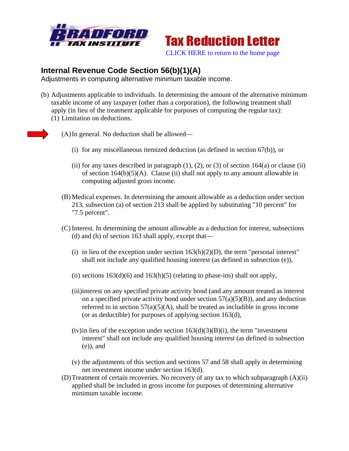



## **Internal Revenue Code Section 56(b)(1)(A)**

Adjustments in computing alternative minimum taxable income.

- (b) Adjustments applicable to individuals. In determining the amount of the alternative minimum taxable income of any taxpayer (other than a corporation), the following treatment shall apply (in lieu of the treatment applicable for purposes of computing the regular tax): (1) Limitation on deductions.
- 

(A)In general. No deduction shall be allowed—

- (i) for any miscellaneous itemized deduction (as defined in section 67(b)), or
- (ii) for any taxes described in paragraph  $(1)$ ,  $(2)$ , or  $(3)$  of section 164 $(a)$  or clause  $(ii)$ of section  $164(b)(5)(A)$ . Clause (ii) shall not apply to any amount allowable in computing adjusted gross income.
- (B) Medical expenses. In determining the amount allowable as a deduction under section 213, subsection (a) of section 213 shall be applied by substituting "10 percent" for "7.5 percent".
- (C) Interest. In determining the amount allowable as a deduction for interest, subsections (d) and (h) of section 163 shall apply, except that—
	- (i) in lieu of the exception under section  $163(h)(2)(D)$ , the term "personal interest" shall not include any qualified housing interest (as defined in subsection (e)),
	- (ii) sections  $163(d)(6)$  and  $163(h)(5)$  (relating to phase-ins) shall not apply,
	- (iii)interest on any specified private activity bond (and any amount treated as interest on a specified private activity bond under section  $57(a)(5)(B)$ ), and any deduction referred to in section  $57(a)(5)(A)$ , shall be treated as includible in gross income (or as deductible) for purposes of applying section 163(d),
	- (iv) in lieu of the exception under section  $163(d)(3)(B)(i)$ , the term "investment" interest" shall not include any qualified housing interest (as defined in subsection (e)), and
	- (v) the adjustments of this section and sections 57 and 58 shall apply in determining net investment income under section 163(d).
- (D)Treatment of certain recoveries. No recovery of any tax to which subparagraph (A)(ii) applied shall be included in gross income for purposes of determining alternative minimum taxable income.